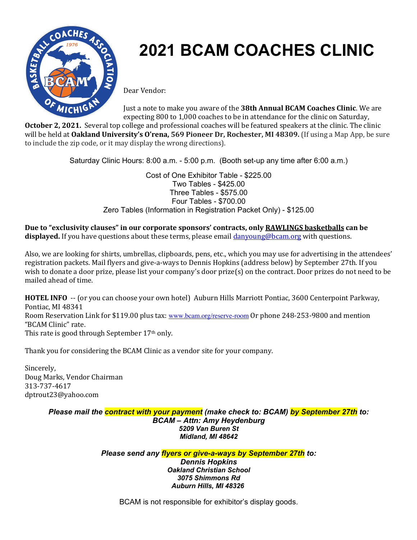

## **2021 BCAM COACHES CLINIC**

Dear Vendor:

Just a note to make you aware of the **38th Annual BCAM Coaches Clinic**. We are expecting 800 to 1,000 coaches to be in attendance for the clinic on Saturday,

**October 2, 2021.** Several top college and professional coaches will be featured speakers at the clinic. The clinic will be held at **Oakland University's O'rena, 569 Pioneer Dr, Rochester, MI 48309.** (If using a Map App, be sure to include the zip code, or it may display the wrong directions).

Saturday Clinic Hours: 8:00 a.m. - 5:00 p.m. (Booth set-up any time after 6:00 a.m.)

Cost of One Exhibitor Table - \$225.00 Two Tables - \$425.00 Three Tables - \$575.00 Four Tables - \$700.00 Zero Tables (Information in Registration Packet Only) - \$125.00

Due to "exclusivity clauses" in our corporate sponsors' contracts, only RAWLINGS basketballs can be displayed. If you have questions about these terms, please email **danyoung@bcam.org** with questions.

Also, we are looking for shirts, umbrellas, clipboards, pens, etc., which you may use for advertising in the attendees' registration packets. Mail flyers and give-a-ways to Dennis Hopkins (address below) by September 27th. If you wish to donate a door prize, please list your company's door prize(s) on the contract. Door prizes do not need to be mailed ahead of time.

**HOTEL INFO** -- (or you can choose your own hotel) Auburn Hills Marriott Pontiac, 3600 Centerpoint Parkway, Pontiac, MI 48341 Room Reservation Link for \$119.00 plus tax: www.bcam.org/reserve-room Or phone 248-253-9800 and mention "BCAM Clinic" rate. This rate is good through September  $17<sup>th</sup>$  only.

Thank you for considering the BCAM Clinic as a vendor site for your company.

Sincerely, Doug Marks, Vendor Chairman 313-737-4617 dptrout23@yahoo.com

> *Please mail the contract with your payment (make check to: BCAM) by September 27th to: BCAM – Attn: Amy Heydenburg 5209 Van Buren St Midland, MI 48642*

> > *Please send any flyers or give-a-ways by September 27th to: Dennis Hopkins Oakland Christian School 3075 Shimmons Rd*

BCAM is not responsible for exhibitor's display goods.

*Auburn Hills, MI 48326*